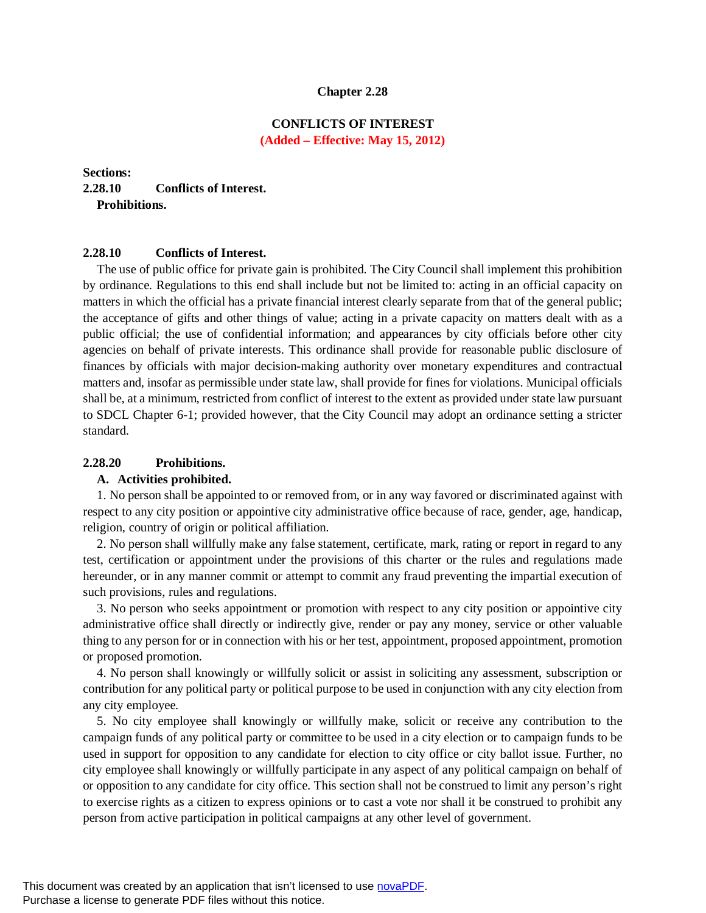#### **Chapter 2.28**

# **CONFLICTS OF INTEREST (Added – Effective: May 15, 2012)**

# **Sections: 2.28.10 Conflicts of Interest. Prohibitions.**

## **2.28.10 Conflicts of Interest.**

The use of public office for private gain is prohibited. The City Council shall implement this prohibition by ordinance. Regulations to this end shall include but not be limited to: acting in an official capacity on matters in which the official has a private financial interest clearly separate from that of the general public; the acceptance of gifts and other things of value; acting in a private capacity on matters dealt with as a public official; the use of confidential information; and appearances by city officials before other city agencies on behalf of private interests. This ordinance shall provide for reasonable public disclosure of finances by officials with major decision-making authority over monetary expenditures and contractual matters and, insofar as permissible under state law, shall provide for fines for violations. Municipal officials shall be, at a minimum, restricted from conflict of interest to the extent as provided under state law pursuant to SDCL Chapter 6-1; provided however, that the City Council may adopt an ordinance setting a stricter standard.

### **2.28.20 Prohibitions.**

#### **A. Activities prohibited.**

1. No person shall be appointed to or removed from, or in any way favored or discriminated against with respect to any city position or appointive city administrative office because of race, gender, age, handicap, religion, country of origin or political affiliation.

2. No person shall willfully make any false statement, certificate, mark, rating or report in regard to any test, certification or appointment under the provisions of this charter or the rules and regulations made hereunder, or in any manner commit or attempt to commit any fraud preventing the impartial execution of such provisions, rules and regulations.

3. No person who seeks appointment or promotion with respect to any city position or appointive city administrative office shall directly or indirectly give, render or pay any money, service or other valuable thing to any person for or in connection with his or her test, appointment, proposed appointment, promotion or proposed promotion.

4. No person shall knowingly or willfully solicit or assist in soliciting any assessment, subscription or contribution for any political party or political purpose to be used in conjunction with any city election from any city employee.

5. No city employee shall knowingly or willfully make, solicit or receive any contribution to the campaign funds of any political party or committee to be used in a city election or to campaign funds to be used in support for opposition to any candidate for election to city office or city ballot issue. Further, no city employee shall knowingly or willfully participate in any aspect of any political campaign on behalf of or opposition to any candidate for city office. This section shall not be construed to limit any person's right to exercise rights as a citizen to express opinions or to cast a vote nor shall it be construed to prohibit any person from active participation in political campaigns at any other level of government.